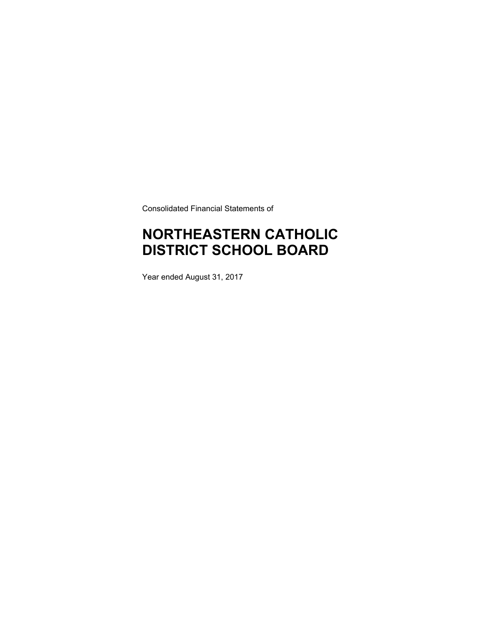Consolidated Financial Statements of

# **NORTHEASTERN CATHOLIC DISTRICT SCHOOL BOARD**

Year ended August 31, 2017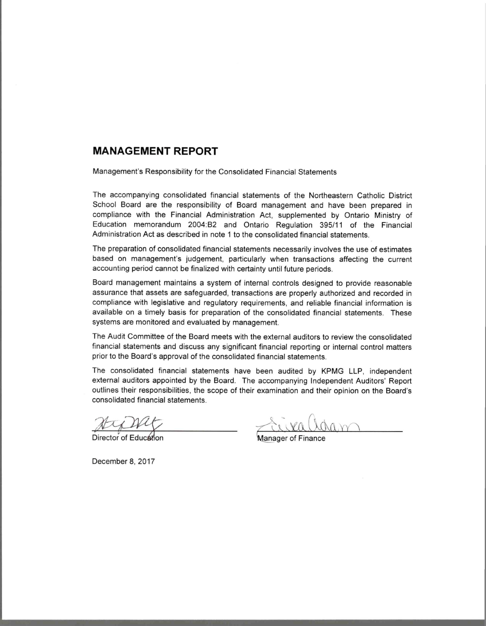## **MANAGEMENT REPORT**

Management's Responsibility for the Consolidated Financial Statements

The accompanying consolidated financial statements of the Northeastern Catholic District School Board are the responsibility of Board management and have been prepared in compliance with the Financial Administration Act, supplemented by Ontario Ministry of Education memorandum 2004:B2 and Ontario Regulation 395/11 of the Financial Administration Act as described in note 1 to the consolidated financial statements

The preparation of consolidated financial statements necessarily involves the use of estimates based on management's judgement, particularly when transactions affecting the current accounting period cannot be finalized with certainty until future periods.

Board management maintains a system of internal controls designed to provide reasonable assurance that assets are safeguarded, transactions are properly authorized and recorded in compliance with legislative and regulatory requirements, and reliable financial information is available on a timely basis for preparation of the consolidated financial statements. These systems are monitored and evaluated by management.

The Audit Committee of the Board meets with the external auditors to review the consolidated financial statements and discuss any significant financial reporting or internal control matters prior to the Board's approval of the consolidated financial statements.

The consolidated financial statements have been audited by KPMG LLP, independent external auditors appointed by the Board. The accompanying Independent Auditors' Report outlines their responsibilities, the scope of their examination and their opinion on the Board's consolidated financial statements.

Director of Education

Manager of Finan

December 8, 2017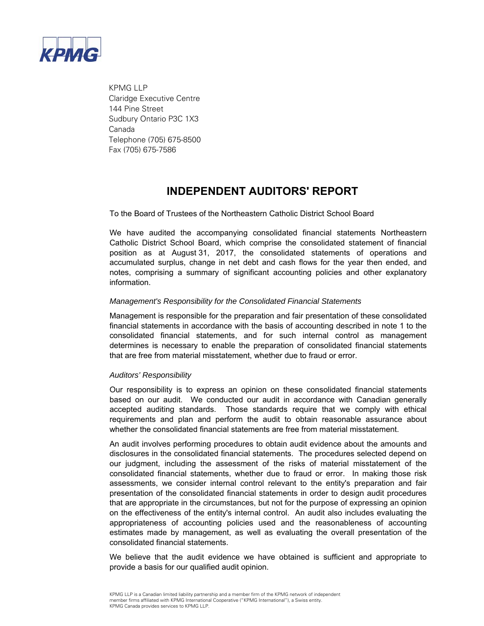

 KPMG LLP Claridge Executive Centre 144 Pine Street Sudbury Ontario P3C 1X3 Canada Telephone (705) 675-8500 Fax (705) 675-7586

## **INDEPENDENT AUDITORS' REPORT**

To the Board of Trustees of the Northeastern Catholic District School Board

We have audited the accompanying consolidated financial statements Northeastern Catholic District School Board, which comprise the consolidated statement of financial position as at August 31, 2017, the consolidated statements of operations and accumulated surplus, change in net debt and cash flows for the year then ended, and notes, comprising a summary of significant accounting policies and other explanatory information.

## *Management's Responsibility for the Consolidated Financial Statements*

Management is responsible for the preparation and fair presentation of these consolidated financial statements in accordance with the basis of accounting described in note 1 to the consolidated financial statements, and for such internal control as management determines is necessary to enable the preparation of consolidated financial statements that are free from material misstatement, whether due to fraud or error.

### *Auditors' Responsibility*

Our responsibility is to express an opinion on these consolidated financial statements based on our audit. We conducted our audit in accordance with Canadian generally accepted auditing standards. Those standards require that we comply with ethical requirements and plan and perform the audit to obtain reasonable assurance about whether the consolidated financial statements are free from material misstatement.

An audit involves performing procedures to obtain audit evidence about the amounts and disclosures in the consolidated financial statements. The procedures selected depend on our judgment, including the assessment of the risks of material misstatement of the consolidated financial statements, whether due to fraud or error. In making those risk assessments, we consider internal control relevant to the entity's preparation and fair presentation of the consolidated financial statements in order to design audit procedures that are appropriate in the circumstances, but not for the purpose of expressing an opinion on the effectiveness of the entity's internal control. An audit also includes evaluating the appropriateness of accounting policies used and the reasonableness of accounting estimates made by management, as well as evaluating the overall presentation of the consolidated financial statements.

We believe that the audit evidence we have obtained is sufficient and appropriate to provide a basis for our qualified audit opinion.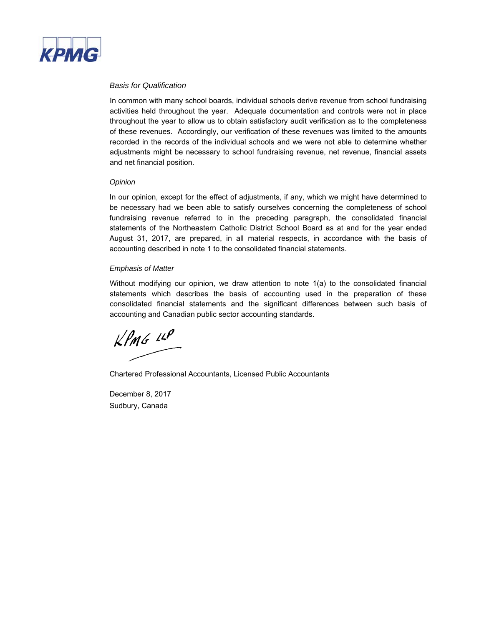

### *Basis for Qualification*

In common with many school boards, individual schools derive revenue from school fundraising activities held throughout the year. Adequate documentation and controls were not in place throughout the year to allow us to obtain satisfactory audit verification as to the completeness of these revenues. Accordingly, our verification of these revenues was limited to the amounts recorded in the records of the individual schools and we were not able to determine whether adjustments might be necessary to school fundraising revenue, net revenue, financial assets and net financial position.

#### *Opinion*

In our opinion, except for the effect of adjustments, if any, which we might have determined to be necessary had we been able to satisfy ourselves concerning the completeness of school fundraising revenue referred to in the preceding paragraph, the consolidated financial statements of the Northeastern Catholic District School Board as at and for the year ended August 31, 2017, are prepared, in all material respects, in accordance with the basis of accounting described in note 1 to the consolidated financial statements.

#### *Emphasis of Matter*

Without modifying our opinion, we draw attention to note 1(a) to the consolidated financial statements which describes the basis of accounting used in the preparation of these consolidated financial statements and the significant differences between such basis of accounting and Canadian public sector accounting standards.

 $KPMG$  14P

Chartered Professional Accountants, Licensed Public Accountants

December 8, 2017 Sudbury, Canada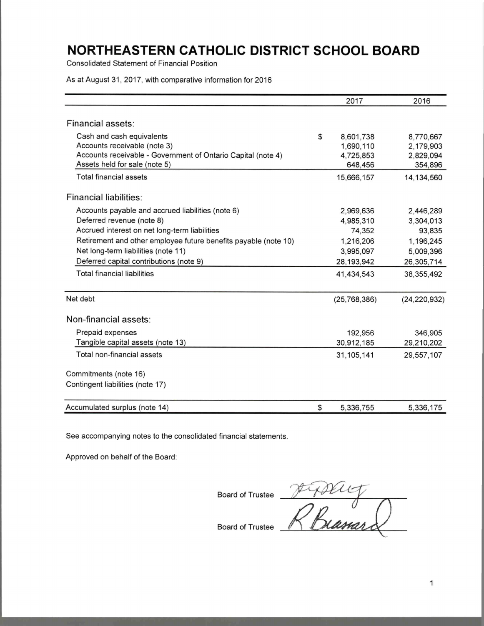**Consolidated Statement of Financial Position** 

As at August 31, 2017, with comparative information for 2016

|                                                                                                                           | 2017                                      | 2016                                |
|---------------------------------------------------------------------------------------------------------------------------|-------------------------------------------|-------------------------------------|
|                                                                                                                           |                                           |                                     |
| Financial assets:                                                                                                         |                                           |                                     |
| Cash and cash equivalents<br>Accounts receivable (note 3)<br>Accounts receivable - Government of Ontario Capital (note 4) | \$<br>8,601,738<br>1,690,110<br>4,725,853 | 8,770,667<br>2,179,903<br>2,829,094 |
| Assets held for sale (note 5)                                                                                             | 648,456                                   | 354,896                             |
| Total financial assets                                                                                                    | 15,666,157                                | 14,134,560                          |
| Financial liabilities:                                                                                                    |                                           |                                     |
| Accounts payable and accrued liabilities (note 6)                                                                         | 2,969,636                                 | 2,446,289                           |
| Deferred revenue (note 8)                                                                                                 | 4,985,310                                 | 3,304,013                           |
| Accrued interest on net long-term liabilities                                                                             | 74,352                                    | 93,835                              |
| Retirement and other employee future benefits payable (note 10)                                                           | 1,216,206                                 | 1,196,245                           |
| Net long-term liabilities (note 11)                                                                                       | 3,995,097                                 | 5,009,396                           |
| Deferred capital contributions (note 9)                                                                                   | 28,193,942                                | 26,305,714                          |
| <b>Total financial liabilities</b>                                                                                        | 41,434,543                                | 38, 355, 492                        |
| Net debt                                                                                                                  | (25, 768, 386)                            | (24, 220, 932)                      |
| Non-financial assets:                                                                                                     |                                           |                                     |
| Prepaid expenses                                                                                                          | 192,956                                   | 346,905                             |
| Tangible capital assets (note 13)                                                                                         | 30,912,185                                | 29,210,202                          |
| Total non-financial assets                                                                                                | 31,105,141                                | 29,557,107                          |
| Commitments (note 16)                                                                                                     |                                           |                                     |
| Contingent liabilities (note 17)                                                                                          |                                           |                                     |
| Accumulated surplus (note 14)                                                                                             | \$<br>5,336,755                           | 5,336,175                           |

See accompanying notes to the consolidated financial statements.

Approved on behalf of the Board:

Board of Trustee Ptiplicy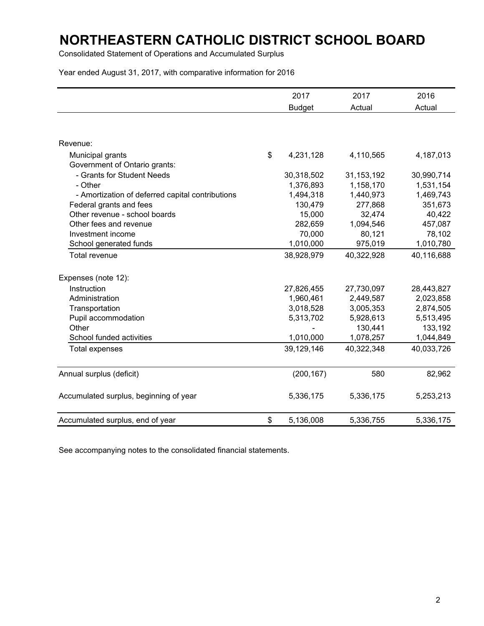Consolidated Statement of Operations and Accumulated Surplus

Year ended August 31, 2017, with comparative information for 2016

|                                                  | 2017            | 2017         | 2016       |
|--------------------------------------------------|-----------------|--------------|------------|
|                                                  | <b>Budget</b>   | Actual       | Actual     |
|                                                  |                 |              |            |
|                                                  |                 |              |            |
| Revenue:                                         |                 |              |            |
| Municipal grants                                 | \$<br>4,231,128 | 4,110,565    | 4,187,013  |
| Government of Ontario grants:                    |                 |              |            |
| - Grants for Student Needs                       | 30,318,502      | 31, 153, 192 | 30,990,714 |
| - Other                                          | 1,376,893       | 1,158,170    | 1,531,154  |
| - Amortization of deferred capital contributions | 1,494,318       | 1,440,973    | 1,469,743  |
| Federal grants and fees                          | 130,479         | 277,868      | 351,673    |
| Other revenue - school boards                    | 15,000          | 32,474       | 40,422     |
| Other fees and revenue                           | 282,659         | 1,094,546    | 457,087    |
| Investment income                                | 70,000          | 80,121       | 78,102     |
| School generated funds                           | 1,010,000       | 975,019      | 1,010,780  |
| <b>Total revenue</b>                             | 38,928,979      | 40,322,928   | 40,116,688 |
|                                                  |                 |              |            |
| Expenses (note 12):                              |                 |              |            |
| Instruction                                      | 27,826,455      | 27,730,097   | 28,443,827 |
| Administration                                   | 1,960,461       | 2,449,587    | 2,023,858  |
| Transportation                                   | 3,018,528       | 3,005,353    | 2,874,505  |
| Pupil accommodation                              | 5,313,702       | 5,928,613    | 5,513,495  |
| Other                                            |                 | 130,441      | 133,192    |
| School funded activities                         | 1,010,000       | 1,078,257    | 1,044,849  |
| <b>Total expenses</b>                            | 39,129,146      | 40,322,348   | 40,033,726 |
|                                                  |                 |              |            |
| Annual surplus (deficit)                         | (200, 167)      | 580          | 82,962     |
| Accumulated surplus, beginning of year           | 5,336,175       | 5,336,175    | 5,253,213  |
| Accumulated surplus, end of year                 | \$<br>5,136,008 | 5,336,755    | 5,336,175  |

See accompanying notes to the consolidated financial statements.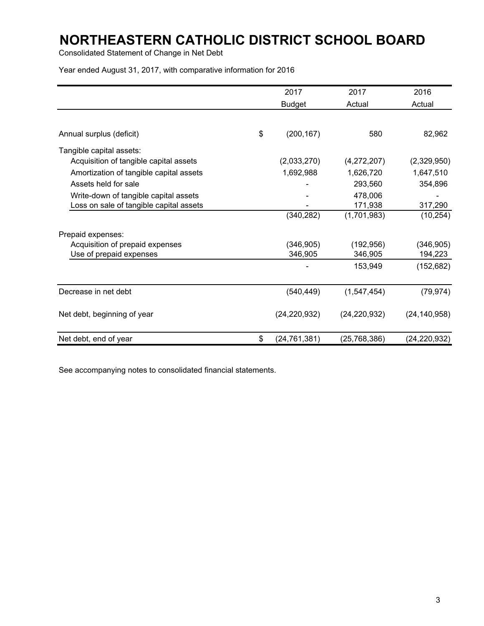Consolidated Statement of Change in Net Debt

Year ended August 31, 2017, with comparative information for 2016

|                                         | 2017                 | 2017           | 2016           |
|-----------------------------------------|----------------------|----------------|----------------|
|                                         | <b>Budget</b>        | Actual         | Actual         |
|                                         |                      |                |                |
| Annual surplus (deficit)                | \$<br>(200, 167)     | 580            | 82,962         |
| Tangible capital assets:                |                      |                |                |
| Acquisition of tangible capital assets  | (2,033,270)          | (4,272,207)    | (2,329,950)    |
| Amortization of tangible capital assets | 1,692,988            | 1,626,720      | 1,647,510      |
| Assets held for sale                    |                      | 293,560        | 354,896        |
| Write-down of tangible capital assets   |                      | 478,006        |                |
| Loss on sale of tangible capital assets |                      | 171,938        | 317,290        |
|                                         | (340, 282)           | (1,701,983)    | (10, 254)      |
| Prepaid expenses:                       |                      |                |                |
| Acquisition of prepaid expenses         | (346, 905)           | (192, 956)     | (346, 905)     |
| Use of prepaid expenses                 | 346,905              | 346,905        | 194,223        |
|                                         |                      | 153,949        | (152, 682)     |
| Decrease in net debt                    | (540, 449)           | (1,547,454)    | (79, 974)      |
| Net debt, beginning of year             | (24, 220, 932)       | (24, 220, 932) | (24, 140, 958) |
|                                         |                      |                |                |
| Net debt, end of year                   | \$<br>(24, 761, 381) | (25,768,386)   | (24,220,932)   |

See accompanying notes to consolidated financial statements.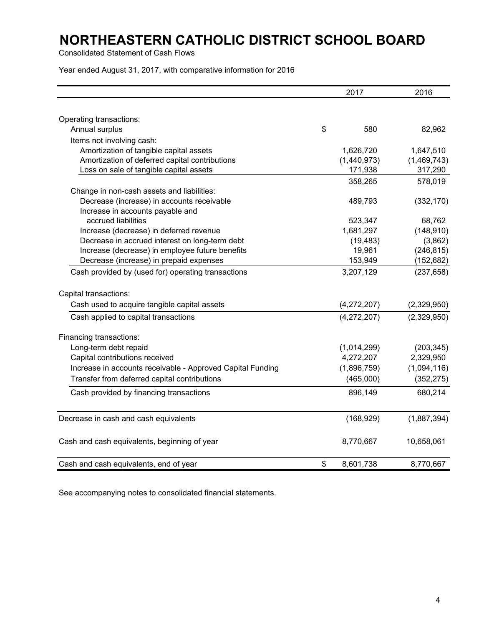Consolidated Statement of Cash Flows

Year ended August 31, 2017, with comparative information for 2016

|                                                            | 2017            | 2016        |
|------------------------------------------------------------|-----------------|-------------|
|                                                            |                 |             |
| Operating transactions:                                    |                 |             |
| Annual surplus                                             | \$<br>580       | 82,962      |
| Items not involving cash:                                  |                 |             |
| Amortization of tangible capital assets                    | 1,626,720       | 1,647,510   |
| Amortization of deferred capital contributions             | (1,440,973)     | (1,469,743) |
| Loss on sale of tangible capital assets                    | 171,938         | 317,290     |
|                                                            | 358,265         | 578,019     |
| Change in non-cash assets and liabilities:                 |                 |             |
| Decrease (increase) in accounts receivable                 | 489,793         | (332, 170)  |
| Increase in accounts payable and                           |                 |             |
| accrued liabilities                                        | 523,347         | 68,762      |
| Increase (decrease) in deferred revenue                    | 1,681,297       | (148, 910)  |
| Decrease in accrued interest on long-term debt             | (19, 483)       | (3,862)     |
| Increase (decrease) in employee future benefits            | 19,961          | (246, 815)  |
| Decrease (increase) in prepaid expenses                    | 153,949         | (152, 682)  |
| Cash provided by (used for) operating transactions         | 3,207,129       | (237, 658)  |
| Capital transactions:                                      |                 |             |
| Cash used to acquire tangible capital assets               | (4,272,207)     | (2,329,950) |
| Cash applied to capital transactions                       | (4,272,207)     | (2,329,950) |
| Financing transactions:                                    |                 |             |
| Long-term debt repaid                                      | (1,014,299)     | (203, 345)  |
| Capital contributions received                             | 4,272,207       | 2,329,950   |
| Increase in accounts receivable - Approved Capital Funding | (1,896,759)     | (1,094,116) |
| Transfer from deferred capital contributions               | (465,000)       | (352, 275)  |
| Cash provided by financing transactions                    | 896,149         | 680,214     |
| Decrease in cash and cash equivalents                      | (168, 929)      | (1,887,394) |
| Cash and cash equivalents, beginning of year               | 8,770,667       | 10,658,061  |
| Cash and cash equivalents, end of year                     | \$<br>8,601,738 | 8,770,667   |

See accompanying notes to consolidated financial statements.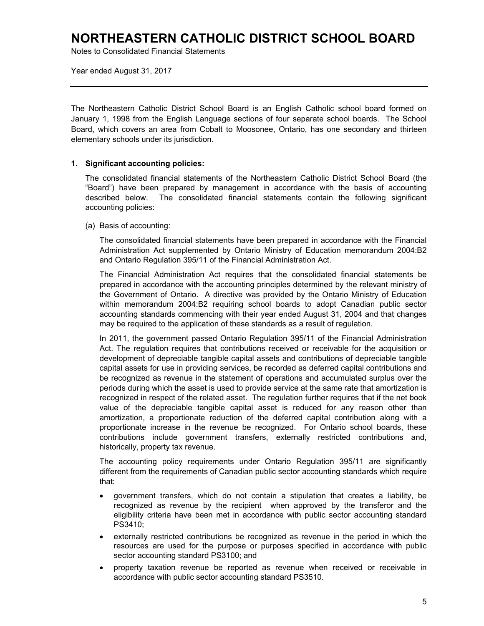Notes to Consolidated Financial Statements

Year ended August 31, 2017

The Northeastern Catholic District School Board is an English Catholic school board formed on January 1, 1998 from the English Language sections of four separate school boards. The School Board, which covers an area from Cobalt to Moosonee, Ontario, has one secondary and thirteen elementary schools under its jurisdiction.

## **1. Significant accounting policies:**

The consolidated financial statements of the Northeastern Catholic District School Board (the "Board") have been prepared by management in accordance with the basis of accounting described below. The consolidated financial statements contain the following significant accounting policies:

### (a) Basis of accounting:

The consolidated financial statements have been prepared in accordance with the Financial Administration Act supplemented by Ontario Ministry of Education memorandum 2004:B2 and Ontario Regulation 395/11 of the Financial Administration Act.

The Financial Administration Act requires that the consolidated financial statements be prepared in accordance with the accounting principles determined by the relevant ministry of the Government of Ontario. A directive was provided by the Ontario Ministry of Education within memorandum 2004:B2 requiring school boards to adopt Canadian public sector accounting standards commencing with their year ended August 31, 2004 and that changes may be required to the application of these standards as a result of regulation.

In 2011, the government passed Ontario Regulation 395/11 of the Financial Administration Act. The regulation requires that contributions received or receivable for the acquisition or development of depreciable tangible capital assets and contributions of depreciable tangible capital assets for use in providing services, be recorded as deferred capital contributions and be recognized as revenue in the statement of operations and accumulated surplus over the periods during which the asset is used to provide service at the same rate that amortization is recognized in respect of the related asset. The regulation further requires that if the net book value of the depreciable tangible capital asset is reduced for any reason other than amortization, a proportionate reduction of the deferred capital contribution along with a proportionate increase in the revenue be recognized. For Ontario school boards, these contributions include government transfers, externally restricted contributions and, historically, property tax revenue.

The accounting policy requirements under Ontario Regulation 395/11 are significantly different from the requirements of Canadian public sector accounting standards which require that:

- government transfers, which do not contain a stipulation that creates a liability, be recognized as revenue by the recipient when approved by the transferor and the eligibility criteria have been met in accordance with public sector accounting standard PS3410;
- externally restricted contributions be recognized as revenue in the period in which the resources are used for the purpose or purposes specified in accordance with public sector accounting standard PS3100; and
- property taxation revenue be reported as revenue when received or receivable in accordance with public sector accounting standard PS3510.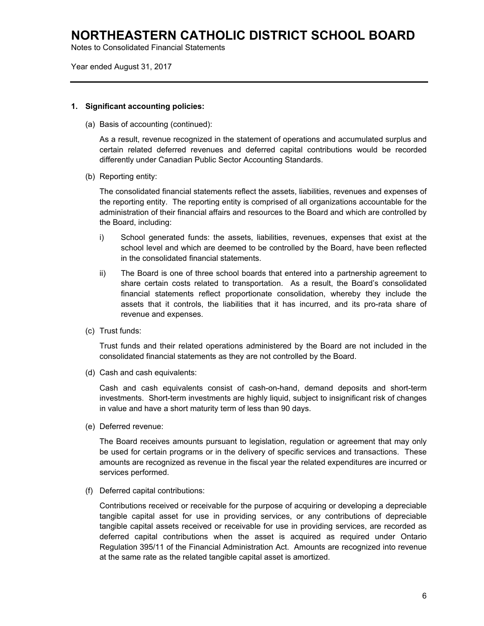Notes to Consolidated Financial Statements

Year ended August 31, 2017

### **1. Significant accounting policies:**

(a) Basis of accounting (continued):

As a result, revenue recognized in the statement of operations and accumulated surplus and certain related deferred revenues and deferred capital contributions would be recorded differently under Canadian Public Sector Accounting Standards.

(b) Reporting entity:

The consolidated financial statements reflect the assets, liabilities, revenues and expenses of the reporting entity. The reporting entity is comprised of all organizations accountable for the administration of their financial affairs and resources to the Board and which are controlled by the Board, including:

- i) School generated funds: the assets, liabilities, revenues, expenses that exist at the school level and which are deemed to be controlled by the Board, have been reflected in the consolidated financial statements.
- ii) The Board is one of three school boards that entered into a partnership agreement to share certain costs related to transportation. As a result, the Board's consolidated financial statements reflect proportionate consolidation, whereby they include the assets that it controls, the liabilities that it has incurred, and its pro-rata share of revenue and expenses.
- (c) Trust funds:

Trust funds and their related operations administered by the Board are not included in the consolidated financial statements as they are not controlled by the Board.

(d) Cash and cash equivalents:

Cash and cash equivalents consist of cash-on-hand, demand deposits and short-term investments. Short-term investments are highly liquid, subject to insignificant risk of changes in value and have a short maturity term of less than 90 days.

(e) Deferred revenue:

The Board receives amounts pursuant to legislation, regulation or agreement that may only be used for certain programs or in the delivery of specific services and transactions. These amounts are recognized as revenue in the fiscal year the related expenditures are incurred or services performed.

(f) Deferred capital contributions:

Contributions received or receivable for the purpose of acquiring or developing a depreciable tangible capital asset for use in providing services, or any contributions of depreciable tangible capital assets received or receivable for use in providing services, are recorded as deferred capital contributions when the asset is acquired as required under Ontario Regulation 395/11 of the Financial Administration Act. Amounts are recognized into revenue at the same rate as the related tangible capital asset is amortized.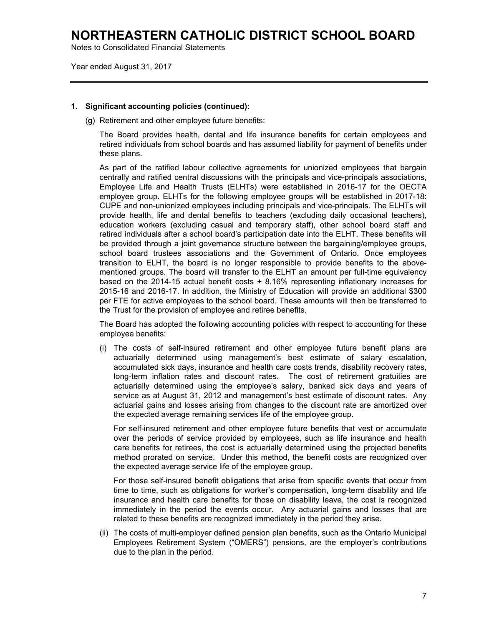Notes to Consolidated Financial Statements

Year ended August 31, 2017

### **1. Significant accounting policies (continued):**

(g) Retirement and other employee future benefits:

The Board provides health, dental and life insurance benefits for certain employees and retired individuals from school boards and has assumed liability for payment of benefits under these plans.

As part of the ratified labour collective agreements for unionized employees that bargain centrally and ratified central discussions with the principals and vice-principals associations, Employee Life and Health Trusts (ELHTs) were established in 2016-17 for the OECTA employee group. ELHTs for the following employee groups will be established in 2017-18: CUPE and non-unionized employees including principals and vice-principals. The ELHTs will provide health, life and dental benefits to teachers (excluding daily occasional teachers), education workers (excluding casual and temporary staff), other school board staff and retired individuals after a school board's participation date into the ELHT. These benefits will be provided through a joint governance structure between the bargaining/employee groups, school board trustees associations and the Government of Ontario. Once employees transition to ELHT, the board is no longer responsible to provide benefits to the abovementioned groups. The board will transfer to the ELHT an amount per full-time equivalency based on the 2014-15 actual benefit costs + 8.16% representing inflationary increases for 2015-16 and 2016-17. In addition, the Ministry of Education will provide an additional \$300 per FTE for active employees to the school board. These amounts will then be transferred to the Trust for the provision of employee and retiree benefits.

The Board has adopted the following accounting policies with respect to accounting for these employee benefits:

(i) The costs of self-insured retirement and other employee future benefit plans are actuarially determined using management's best estimate of salary escalation, accumulated sick days, insurance and health care costs trends, disability recovery rates, long-term inflation rates and discount rates. The cost of retirement gratuities are actuarially determined using the employee's salary, banked sick days and years of service as at August 31, 2012 and management's best estimate of discount rates. Any actuarial gains and losses arising from changes to the discount rate are amortized over the expected average remaining services life of the employee group.

For self-insured retirement and other employee future benefits that vest or accumulate over the periods of service provided by employees, such as life insurance and health care benefits for retirees, the cost is actuarially determined using the projected benefits method prorated on service. Under this method, the benefit costs are recognized over the expected average service life of the employee group.

For those self-insured benefit obligations that arise from specific events that occur from time to time, such as obligations for worker's compensation, long-term disability and life insurance and health care benefits for those on disability leave, the cost is recognized immediately in the period the events occur. Any actuarial gains and losses that are related to these benefits are recognized immediately in the period they arise.

(ii) The costs of multi-employer defined pension plan benefits, such as the Ontario Municipal Employees Retirement System ("OMERS") pensions, are the employer's contributions due to the plan in the period.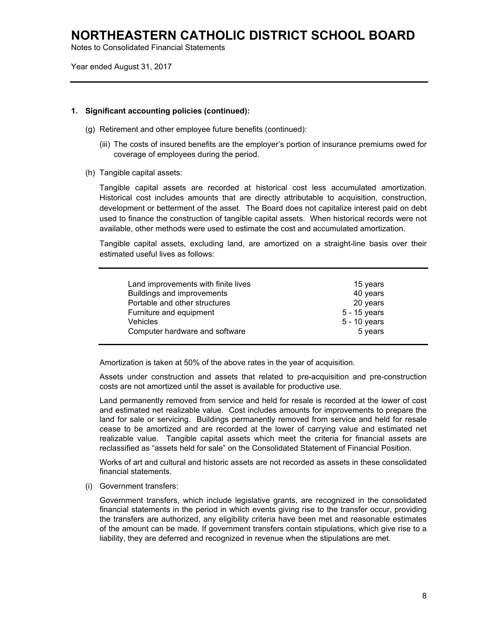Notes to Consolidated Financial Statements

Year ended August 31, 2017

### **1. Significant accounting policies (continued):**

- (g) Retirement and other employee future benefits (continued):
	- (iii) The costs of insured benefits are the employer's portion of insurance premiums owed for coverage of employees during the period.
- (h) Tangible capital assets:

Tangible capital assets are recorded at historical cost less accumulated amortization. Historical cost includes amounts that are directly attributable to acquisition, construction, development or betterment of the asset. The Board does not capitalize interest paid on debt used to finance the construction of tangible capital assets. When historical records were not available, other methods were used to estimate the cost and accumulated amortization.

Tangible capital assets, excluding land, are amortized on a straight-line basis over their estimated useful lives as follows:

| Land improvements with finite lives | 15 years     |
|-------------------------------------|--------------|
| Buildings and improvements          | 40 years     |
| Portable and other structures       | 20 years     |
| Furniture and equipment             | 5 - 15 years |
| <b>Vehicles</b>                     | 5 - 10 years |
| Computer hardware and software      | 5 years      |

Amortization is taken at 50% of the above rates in the year of acquisition.

Assets under construction and assets that related to pre-acquisition and pre-construction costs are not amortized until the asset is available for productive use.

Land permanently removed from service and held for resale is recorded at the lower of cost and estimated net realizable value. Cost includes amounts for improvements to prepare the land for sale or servicing. Buildings permanently removed from service and held for resale cease to be amortized and are recorded at the lower of carrying value and estimated net realizable value. Tangible capital assets which meet the criteria for financial assets are reclassified as "assets held for sale" on the Consolidated Statement of Financial Position.

Works of art and cultural and historic assets are not recorded as assets in these consolidated financial statements.

(i) Government transfers:

Government transfers, which include legislative grants, are recognized in the consolidated financial statements in the period in which events giving rise to the transfer occur, providing the transfers are authorized, any eligibility criteria have been met and reasonable estimates of the amount can be made. If government transfers contain stipulations, which give rise to a liability, they are deferred and recognized in revenue when the stipulations are met.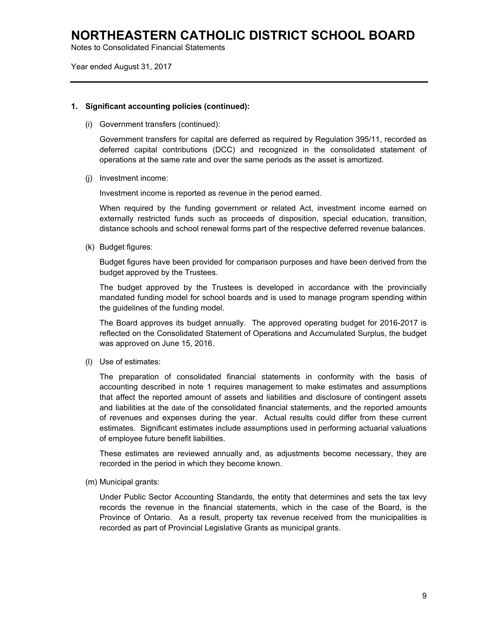Notes to Consolidated Financial Statements

Year ended August 31, 2017

### **1. Significant accounting policies (continued):**

(i) Government transfers (continued):

Government transfers for capital are deferred as required by Regulation 395/11, recorded as deferred capital contributions (DCC) and recognized in the consolidated statement of operations at the same rate and over the same periods as the asset is amortized.

(j) Investment income:

Investment income is reported as revenue in the period earned.

When required by the funding government or related Act, investment income earned on externally restricted funds such as proceeds of disposition, special education, transition, distance schools and school renewal forms part of the respective deferred revenue balances.

(k) Budget figures:

Budget figures have been provided for comparison purposes and have been derived from the budget approved by the Trustees.

The budget approved by the Trustees is developed in accordance with the provincially mandated funding model for school boards and is used to manage program spending within the guidelines of the funding model.

The Board approves its budget annually. The approved operating budget for 2016-2017 is reflected on the Consolidated Statement of Operations and Accumulated Surplus, the budget was approved on June 15, 2016.

(l) Use of estimates:

The preparation of consolidated financial statements in conformity with the basis of accounting described in note 1 requires management to make estimates and assumptions that affect the reported amount of assets and liabilities and disclosure of contingent assets and liabilities at the date of the consolidated financial statements, and the reported amounts of revenues and expenses during the year. Actual results could differ from these current estimates. Significant estimates include assumptions used in performing actuarial valuations of employee future benefit liabilities.

These estimates are reviewed annually and, as adjustments become necessary, they are recorded in the period in which they become known.

(m) Municipal grants:

Under Public Sector Accounting Standards, the entity that determines and sets the tax levy records the revenue in the financial statements, which in the case of the Board, is the Province of Ontario. As a result, property tax revenue received from the municipalities is recorded as part of Provincial Legislative Grants as municipal grants.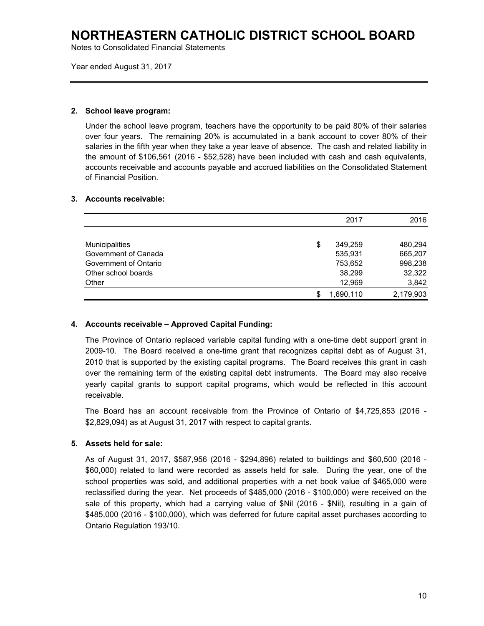Notes to Consolidated Financial Statements

Year ended August 31, 2017

### **2. School leave program:**

Under the school leave program, teachers have the opportunity to be paid 80% of their salaries over four years. The remaining 20% is accumulated in a bank account to cover 80% of their salaries in the fifth year when they take a year leave of absence. The cash and related liability in the amount of \$106,561 (2016 - \$52,528) have been included with cash and cash equivalents, accounts receivable and accounts payable and accrued liabilities on the Consolidated Statement of Financial Position.

## **3. Accounts receivable:**

|                       | 2017          | 2016      |
|-----------------------|---------------|-----------|
|                       |               |           |
| <b>Municipalities</b> | \$<br>349.259 | 480,294   |
| Government of Canada  | 535,931       | 665,207   |
| Government of Ontario | 753,652       | 998,238   |
| Other school boards   | 38,299        | 32,322    |
| Other                 | 12,969        | 3,842     |
|                       | 1,690,110     | 2,179,903 |

## **4. Accounts receivable – Approved Capital Funding:**

The Province of Ontario replaced variable capital funding with a one-time debt support grant in 2009-10. The Board received a one-time grant that recognizes capital debt as of August 31, 2010 that is supported by the existing capital programs. The Board receives this grant in cash over the remaining term of the existing capital debt instruments. The Board may also receive yearly capital grants to support capital programs, which would be reflected in this account receivable.

The Board has an account receivable from the Province of Ontario of \$4,725,853 (2016 - \$2,829,094) as at August 31, 2017 with respect to capital grants.

## **5. Assets held for sale:**

As of August 31, 2017, \$587,956 (2016 - \$294,896) related to buildings and \$60,500 (2016 - \$60,000) related to land were recorded as assets held for sale. During the year, one of the school properties was sold, and additional properties with a net book value of \$465,000 were reclassified during the year. Net proceeds of \$485,000 (2016 - \$100,000) were received on the sale of this property, which had a carrying value of \$Nil (2016 - \$Nil), resulting in a gain of \$485,000 (2016 - \$100,000), which was deferred for future capital asset purchases according to Ontario Regulation 193/10.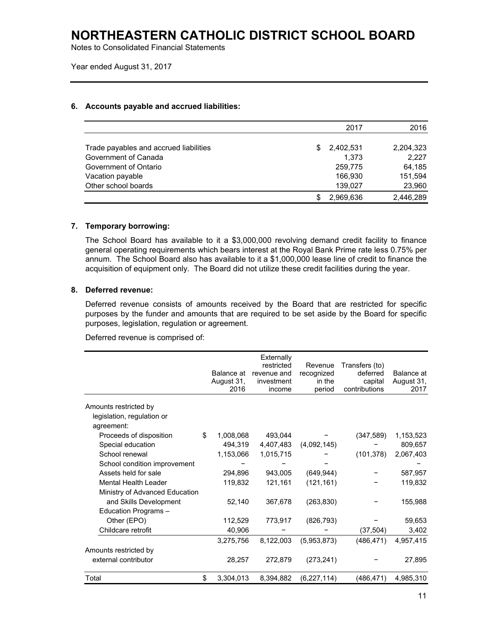Notes to Consolidated Financial Statements

Year ended August 31, 2017

### **6. Accounts payable and accrued liabilities:**

|                                        |    | 2017      | 2016      |
|----------------------------------------|----|-----------|-----------|
| Trade payables and accrued liabilities | S. | 2,402,531 | 2,204,323 |
| Government of Canada                   |    | 1,373     | 2,227     |
| Government of Ontario                  |    | 259,775   | 64,185    |
| Vacation payable                       |    | 166,930   | 151,594   |
| Other school boards                    |    | 139,027   | 23,960    |
|                                        |    | 2,969,636 | 2,446,289 |

## **7. Temporary borrowing:**

The School Board has available to it a \$3,000,000 revolving demand credit facility to finance general operating requirements which bears interest at the Royal Bank Prime rate less 0.75% per annum. The School Board also has available to it a \$1,000,000 lease line of credit to finance the acquisition of equipment only. The Board did not utilize these credit facilities during the year.

## **8. Deferred revenue:**

Deferred revenue consists of amounts received by the Board that are restricted for specific purposes by the funder and amounts that are required to be set aside by the Board for specific purposes, legislation, regulation or agreement.

Deferred revenue is comprised of:

|                                | Balance at<br>August 31,<br>2016 | Externally<br>restricted<br>revenue and<br>investment<br>income | Revenue<br>recognized<br>in the<br>period | Transfers (to)<br>deferred<br>capital<br>contributions | Balance at<br>August 31,<br>2017 |
|--------------------------------|----------------------------------|-----------------------------------------------------------------|-------------------------------------------|--------------------------------------------------------|----------------------------------|
| Amounts restricted by          |                                  |                                                                 |                                           |                                                        |                                  |
| legislation, regulation or     |                                  |                                                                 |                                           |                                                        |                                  |
| agreement:                     |                                  |                                                                 |                                           |                                                        |                                  |
| Proceeds of disposition        | \$<br>1,008,068                  | 493,044                                                         |                                           | (347, 589)                                             | 1,153,523                        |
| Special education              | 494,319                          | 4,407,483                                                       | (4,092,145)                               |                                                        | 809,657                          |
| School renewal                 | 1,153,066                        | 1,015,715                                                       |                                           | (101, 378)                                             | 2,067,403                        |
| School condition improvement   |                                  |                                                                 |                                           |                                                        |                                  |
| Assets held for sale           | 294,896                          | 943,005                                                         | (649, 944)                                |                                                        | 587,957                          |
| Mental Health Leader           | 119,832                          | 121,161                                                         | (121, 161)                                |                                                        | 119,832                          |
| Ministry of Advanced Education |                                  |                                                                 |                                           |                                                        |                                  |
| and Skills Development         | 52,140                           | 367,678                                                         | (263, 830)                                |                                                        | 155,988                          |
| Education Programs -           |                                  |                                                                 |                                           |                                                        |                                  |
| Other (EPO)                    | 112,529                          | 773,917                                                         | (826, 793)                                |                                                        | 59,653                           |
| Childcare retrofit             | 40,906                           |                                                                 |                                           | (37, 504)                                              | 3,402                            |
|                                | 3,275,756                        | 8,122,003                                                       | (5,953,873)                               | (486, 471)                                             | 4,957,415                        |
| Amounts restricted by          |                                  |                                                                 |                                           |                                                        |                                  |
| external contributor           | 28,257                           | 272,879                                                         | (273, 241)                                |                                                        | 27,895                           |
| Total                          | \$<br>3,304,013                  | 8,394,882                                                       | (6, 227, 114)                             | (486, 471)                                             | 4,985,310                        |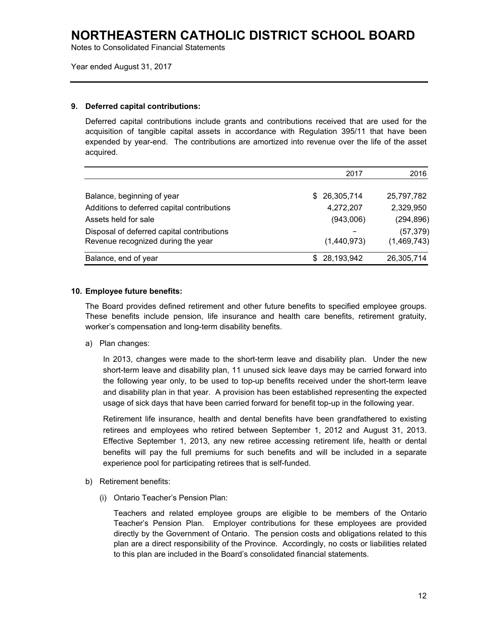Notes to Consolidated Financial Statements

Year ended August 31, 2017

### **9. Deferred capital contributions:**

Deferred capital contributions include grants and contributions received that are used for the acquisition of tangible capital assets in accordance with Regulation 395/11 that have been expended by year-end. The contributions are amortized into revenue over the life of the asset acquired.

|                                             | 2017          | 2016        |
|---------------------------------------------|---------------|-------------|
|                                             |               |             |
| Balance, beginning of year                  | \$ 26,305,714 | 25,797,782  |
| Additions to deferred capital contributions | 4,272,207     | 2,329,950   |
| Assets held for sale                        | (943,006)     | (294, 896)  |
| Disposal of deferred capital contributions  |               | (57, 379)   |
| Revenue recognized during the year          | (1,440,973)   | (1,469,743) |
| Balance, end of year                        | \$28,193,942  | 26,305,714  |

## **10. Employee future benefits:**

The Board provides defined retirement and other future benefits to specified employee groups. These benefits include pension, life insurance and health care benefits, retirement gratuity, worker's compensation and long-term disability benefits.

a) Plan changes:

In 2013, changes were made to the short-term leave and disability plan. Under the new short-term leave and disability plan, 11 unused sick leave days may be carried forward into the following year only, to be used to top-up benefits received under the short-term leave and disability plan in that year. A provision has been established representing the expected usage of sick days that have been carried forward for benefit top-up in the following year.

Retirement life insurance, health and dental benefits have been grandfathered to existing retirees and employees who retired between September 1, 2012 and August 31, 2013. Effective September 1, 2013, any new retiree accessing retirement life, health or dental benefits will pay the full premiums for such benefits and will be included in a separate experience pool for participating retirees that is self-funded.

- b) Retirement benefits:
	- (i) Ontario Teacher's Pension Plan:

Teachers and related employee groups are eligible to be members of the Ontario Teacher's Pension Plan. Employer contributions for these employees are provided directly by the Government of Ontario. The pension costs and obligations related to this plan are a direct responsibility of the Province. Accordingly, no costs or liabilities related to this plan are included in the Board's consolidated financial statements.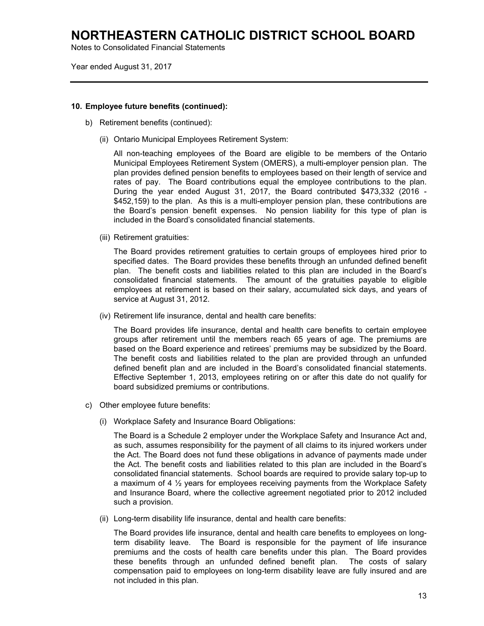Notes to Consolidated Financial Statements

Year ended August 31, 2017

### **10. Employee future benefits (continued):**

- b) Retirement benefits (continued):
	- (ii) Ontario Municipal Employees Retirement System:

All non-teaching employees of the Board are eligible to be members of the Ontario Municipal Employees Retirement System (OMERS), a multi-employer pension plan. The plan provides defined pension benefits to employees based on their length of service and rates of pay. The Board contributions equal the employee contributions to the plan. During the year ended August 31, 2017, the Board contributed \$473,332 (2016 - \$452,159) to the plan. As this is a multi-employer pension plan, these contributions are the Board's pension benefit expenses. No pension liability for this type of plan is included in the Board's consolidated financial statements.

(iii) Retirement gratuities:

The Board provides retirement gratuities to certain groups of employees hired prior to specified dates. The Board provides these benefits through an unfunded defined benefit plan. The benefit costs and liabilities related to this plan are included in the Board's consolidated financial statements. The amount of the gratuities payable to eligible employees at retirement is based on their salary, accumulated sick days, and years of service at August 31, 2012.

(iv) Retirement life insurance, dental and health care benefits:

The Board provides life insurance, dental and health care benefits to certain employee groups after retirement until the members reach 65 years of age. The premiums are based on the Board experience and retirees' premiums may be subsidized by the Board. The benefit costs and liabilities related to the plan are provided through an unfunded defined benefit plan and are included in the Board's consolidated financial statements. Effective September 1, 2013, employees retiring on or after this date do not qualify for board subsidized premiums or contributions.

- c) Other employee future benefits:
	- (i) Workplace Safety and Insurance Board Obligations:

The Board is a Schedule 2 employer under the Workplace Safety and Insurance Act and, as such, assumes responsibility for the payment of all claims to its injured workers under the Act. The Board does not fund these obligations in advance of payments made under the Act. The benefit costs and liabilities related to this plan are included in the Board's consolidated financial statements. School boards are required to provide salary top-up to a maximum of 4 ½ years for employees receiving payments from the Workplace Safety and Insurance Board, where the collective agreement negotiated prior to 2012 included such a provision.

(ii) Long-term disability life insurance, dental and health care benefits:

The Board provides life insurance, dental and health care benefits to employees on longterm disability leave. The Board is responsible for the payment of life insurance premiums and the costs of health care benefits under this plan. The Board provides these benefits through an unfunded defined benefit plan. The costs of salary compensation paid to employees on long-term disability leave are fully insured and are not included in this plan.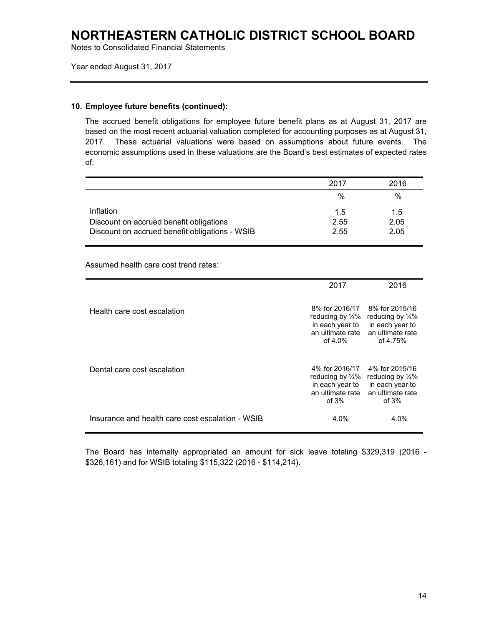Notes to Consolidated Financial Statements

Year ended August 31, 2017

### **10. Employee future benefits (continued):**

The accrued benefit obligations for employee future benefit plans as at August 31, 2017 are based on the most recent actuarial valuation completed for accounting purposes as at August 31, 2017. These actuarial valuations were based on assumptions about future events. The economic assumptions used in these valuations are the Board's best estimates of expected rates of:

|                                                | 2017 | 2016 |
|------------------------------------------------|------|------|
|                                                | %    | $\%$ |
| Inflation                                      | 1.5  | 1.5  |
| Discount on accrued benefit obligations        | 2.55 | 2.05 |
| Discount on accrued benefit obligations - WSIB | 2.55 | 2.05 |

Assumed health care cost trend rates:

|                                                  | 2017                                                                          | 2016                                                                                                            |
|--------------------------------------------------|-------------------------------------------------------------------------------|-----------------------------------------------------------------------------------------------------------------|
| Health care cost escalation                      | reducing by $\frac{1}{4}\%$<br>in each year to<br>an ultimate rate<br>of 4.0% | 8% for 2016/17 8% for 2015/16<br>reducing by $\frac{1}{4}$ %<br>in each year to<br>an ultimate rate<br>of 4.75% |
| Dental care cost escalation                      | reducing by $\frac{1}{4}\%$<br>in each year to<br>an ultimate rate<br>of $3%$ | 4% for 2016/17 4% for 2015/16<br>reducing by $\frac{1}{4}$ %<br>in each year to<br>an ultimate rate<br>of $3%$  |
| Insurance and health care cost escalation - WSIB | 4.0%                                                                          | 4.0%                                                                                                            |

The Board has internally appropriated an amount for sick leave totaling \$329,319 (2016 - \$326,161) and for WSIB totaling \$115,322 (2016 - \$114,214).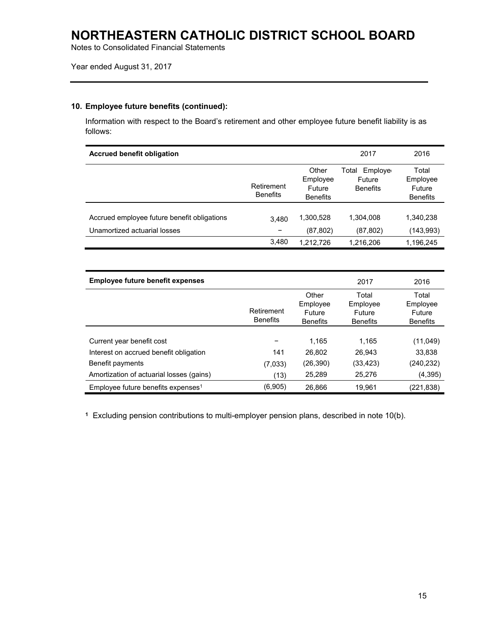Notes to Consolidated Financial Statements

## **10. Employee future benefits (continued):**

Information with respect to the Board's retirement and other employee future benefit liability is as follows:

| <b>Accrued benefit obligation</b>                                           |                               |                                                | 2017                                          | 2016                                                  |
|-----------------------------------------------------------------------------|-------------------------------|------------------------------------------------|-----------------------------------------------|-------------------------------------------------------|
|                                                                             | Retirement<br><b>Benefits</b> | Other<br>Employee<br>Future<br><b>Benefits</b> | Employe<br>Total<br>Future<br><b>Benefits</b> | Total<br>Employee<br><b>Future</b><br><b>Benefits</b> |
| Accrued employee future benefit obligations<br>Unamortized actuarial losses | 3,480                         | 1,300,528<br>(87, 802)                         | 1,304,008<br>(87, 802)                        | 1,340,238<br>(143,993)                                |
|                                                                             | 3.480                         | 1.212.726                                      | 1,216,206                                     | 1,196,245                                             |

| <b>Employee future benefit expenses</b>        |                               |                                                | 2017                                           | 2016                                           |
|------------------------------------------------|-------------------------------|------------------------------------------------|------------------------------------------------|------------------------------------------------|
|                                                | Retirement<br><b>Benefits</b> | Other<br>Employee<br>Future<br><b>Benefits</b> | Total<br>Employee<br>Future<br><b>Benefits</b> | Total<br>Employee<br>Future<br><b>Benefits</b> |
|                                                |                               |                                                |                                                |                                                |
| Current year benefit cost                      |                               | 1.165                                          | 1.165                                          | (11,049)                                       |
| Interest on accrued benefit obligation         | 141                           | 26.802                                         | 26.943                                         | 33,838                                         |
| Benefit payments                               | (7,033)                       | (26,390)                                       | (33, 423)                                      | (240,232)                                      |
| Amortization of actuarial losses (gains)       | (13)                          | 25,289                                         | 25,276                                         | (4, 395)                                       |
| Employee future benefits expenses <sup>1</sup> | (6,905)                       | 26,866                                         | 19.961                                         | (221,838)                                      |

**1** Excluding pension contributions to multi-employer pension plans, described in note 10(b).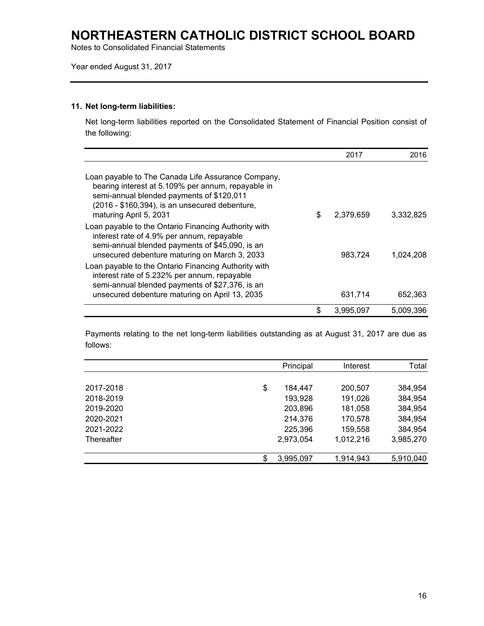Notes to Consolidated Financial Statements

Year ended August 31, 2017

## **11. Net long-term liabilities:**

Net long-term liabilities reported on the Consolidated Statement of Financial Position consist of the following:

|                                                                                                                                                                                                                                   | 2017            | 2016      |
|-----------------------------------------------------------------------------------------------------------------------------------------------------------------------------------------------------------------------------------|-----------------|-----------|
| Loan payable to The Canada Life Assurance Company,<br>bearing interest at 5.109% per annum, repayable in<br>semi-annual blended payments of \$120,011<br>(2016 - \$160,394), is an unsecured debenture,<br>maturing April 5, 2031 | \$<br>2,379,659 | 3,332,825 |
| Loan payable to the Ontario Financing Authority with<br>interest rate of 4.9% per annum, repayable<br>semi-annual blended payments of \$45,090, is an<br>unsecured debenture maturing on March 3, 2033                            | 983.724         | 1,024,208 |
| Loan payable to the Ontario Financing Authority with<br>interest rate of 5.232% per annum, repayable<br>semi-annual blended payments of \$27,376, is an<br>unsecured debenture maturing on April 13, 2035                         | 631,714         | 652,363   |
|                                                                                                                                                                                                                                   | \$<br>3.995.097 | 5,009,396 |

Payments relating to the net long-term liabilities outstanding as at August 31, 2017 are due as follows:

|            |    | Principal | Interest  | Total     |
|------------|----|-----------|-----------|-----------|
|            |    |           |           |           |
| 2017-2018  | \$ | 184.447   | 200,507   | 384,954   |
| 2018-2019  |    | 193,928   | 191,026   | 384,954   |
| 2019-2020  |    | 203,896   | 181,058   | 384,954   |
| 2020-2021  |    | 214,376   | 170,578   | 384,954   |
| 2021-2022  |    | 225,396   | 159,558   | 384,954   |
| Thereafter |    | 2,973,054 | 1,012,216 | 3,985,270 |
|            |    |           |           |           |
|            | S  | 3,995,097 | 1,914,943 | 5,910,040 |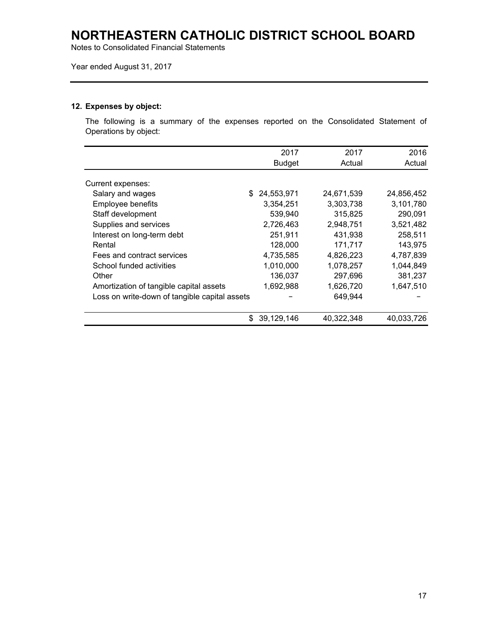Notes to Consolidated Financial Statements

Year ended August 31, 2017

## **12. Expenses by object:**

The following is a summary of the expenses reported on the Consolidated Statement of Operations by object:

|                                               | 2017              | 2017       | 2016       |
|-----------------------------------------------|-------------------|------------|------------|
|                                               | <b>Budget</b>     | Actual     | Actual     |
| Current expenses:                             |                   |            |            |
| Salary and wages                              | 24,553,971<br>\$. | 24,671,539 | 24,856,452 |
| Employee benefits                             | 3,354,251         | 3,303,738  | 3,101,780  |
| Staff development                             | 539,940           | 315,825    | 290,091    |
| Supplies and services                         | 2,726,463         | 2,948,751  | 3,521,482  |
| Interest on long-term debt                    | 251,911           | 431,938    | 258,511    |
| Rental                                        | 128,000           | 171,717    | 143,975    |
| Fees and contract services                    | 4,735,585         | 4,826,223  | 4,787,839  |
| School funded activities                      | 1,010,000         | 1,078,257  | 1,044,849  |
| Other                                         | 136,037           | 297,696    | 381,237    |
| Amortization of tangible capital assets       | 1,692,988         | 1,626,720  | 1,647,510  |
| Loss on write-down of tangible capital assets |                   | 649,944    |            |
|                                               | 39,129,146<br>S   | 40.322.348 | 40.033.726 |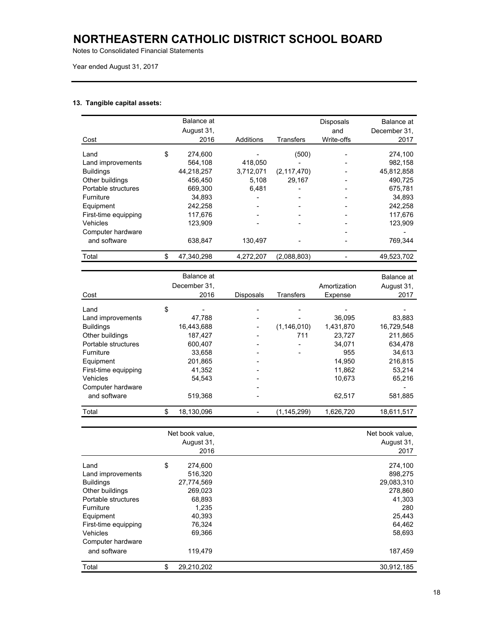Notes to Consolidated Financial Statements

#### **13. Tangible capital assets:**

| Cost                 | Balance at<br>August 31,<br>2016 | Additions | Transfers     | <b>Disposals</b><br>and<br>Write-offs | Balance at<br>December 31.<br>2017 |
|----------------------|----------------------------------|-----------|---------------|---------------------------------------|------------------------------------|
| Land                 | \$<br>274.600                    |           | (500)         |                                       | 274,100                            |
| Land improvements    | 564,108                          | 418,050   |               |                                       | 982,158                            |
| <b>Buildings</b>     | 44,218,257                       | 3,712,071 | (2, 117, 470) |                                       | 45,812,858                         |
| Other buildings      | 456.450                          | 5,108     | 29.167        |                                       | 490.725                            |
| Portable structures  | 669.300                          | 6.481     |               |                                       | 675.781                            |
| <b>Furniture</b>     | 34.893                           |           |               |                                       | 34.893                             |
| Equipment            | 242,258                          |           |               |                                       | 242.258                            |
| First-time equipping | 117.676                          |           |               |                                       | 117.676                            |
| Vehicles             | 123,909                          |           |               |                                       | 123,909                            |
| Computer hardware    |                                  |           |               |                                       |                                    |
| and software         | 638.847                          | 130.497   |               |                                       | 769.344                            |
| Total                | \$<br>47,340,298                 | 4,272,207 | (2,088,803)   |                                       | 49,523,702                         |

|                      | Balance at   |                  |                  |              | Balance at |
|----------------------|--------------|------------------|------------------|--------------|------------|
|                      | December 31, |                  |                  | Amortization | August 31, |
| Cost                 | 2016         | <b>Disposals</b> | <b>Transfers</b> | Expense      | 2017       |
| Land                 | \$           |                  |                  |              |            |
| Land improvements    | 47.788       |                  |                  | 36.095       | 83,883     |
| <b>Buildings</b>     | 16,443,688   |                  | (1, 146, 010)    | 1,431,870    | 16,729,548 |
| Other buildings      | 187,427      |                  | 711              | 23,727       | 211,865    |
| Portable structures  | 600,407      |                  |                  | 34,071       | 634,478    |
| <b>Furniture</b>     | 33.658       |                  |                  | 955          | 34.613     |
| Equipment            | 201,865      |                  |                  | 14.950       | 216.815    |
| First-time equipping | 41.352       | -                |                  | 11,862       | 53,214     |
| Vehicles             | 54.543       |                  |                  | 10.673       | 65,216     |
| Computer hardware    |              |                  |                  |              |            |
| and software         | 519,368      |                  |                  | 62,517       | 581,885    |
| Total                | 18,130,096   |                  | (1, 145, 299)    | 1,626,720    | 18,611,517 |

|                      | Net book value,<br>August 31,<br>2016 | Net book value,<br>August 31,<br>2017 |
|----------------------|---------------------------------------|---------------------------------------|
|                      |                                       |                                       |
| Land                 | \$<br>274,600                         | 274,100                               |
| Land improvements    | 516,320                               | 898,275                               |
| <b>Buildings</b>     | 27,774,569                            | 29,083,310                            |
| Other buildings      | 269,023                               | 278,860                               |
| Portable structures  | 68,893                                | 41,303                                |
| Furniture            | 1,235                                 | 280                                   |
| Equipment            | 40,393                                | 25,443                                |
| First-time equipping | 76,324                                | 64,462                                |
| Vehicles             | 69.366                                | 58,693                                |
| Computer hardware    |                                       |                                       |
| and software         | 119,479                               | 187,459                               |
| Total                | \$<br>29,210,202                      | 30,912,185                            |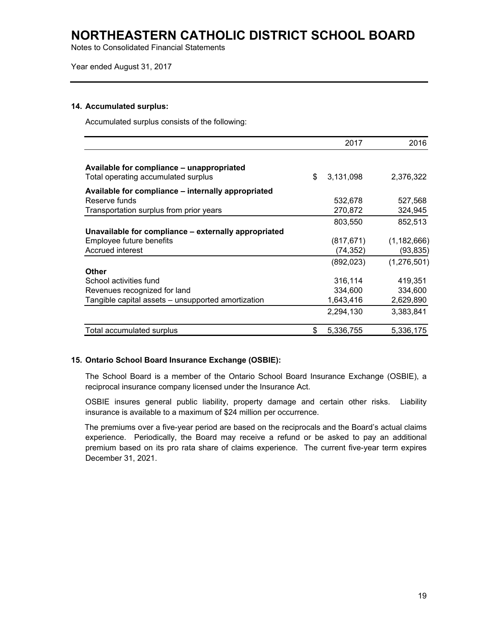Notes to Consolidated Financial Statements

Year ended August 31, 2017

### **14. Accumulated surplus:**

Accumulated surplus consists of the following:

|                                                                                  | 2017            | 2016          |
|----------------------------------------------------------------------------------|-----------------|---------------|
| Available for compliance - unappropriated<br>Total operating accumulated surplus | \$<br>3,131,098 | 2,376,322     |
| Available for compliance – internally appropriated                               |                 |               |
| Reserve funds                                                                    | 532,678         | 527,568       |
| Transportation surplus from prior years                                          | 270,872         | 324,945       |
|                                                                                  | 803,550         | 852,513       |
| Unavailable for compliance - externally appropriated                             |                 |               |
| Employee future benefits                                                         | (817, 671)      | (1, 182, 666) |
| Accrued interest                                                                 | (74,352)        | (93, 835)     |
|                                                                                  | (892, 023)      | (1,276,501)   |
| Other                                                                            |                 |               |
| School activities fund                                                           | 316,114         | 419,351       |
| Revenues recognized for land                                                     | 334,600         | 334,600       |
| Tangible capital assets – unsupported amortization                               | 1,643,416       | 2,629,890     |
|                                                                                  | 2,294,130       | 3,383,841     |
| Total accumulated surplus                                                        | \$<br>5,336,755 | 5,336,175     |

### **15. Ontario School Board Insurance Exchange (OSBIE):**

The School Board is a member of the Ontario School Board Insurance Exchange (OSBIE), a reciprocal insurance company licensed under the Insurance Act.

OSBIE insures general public liability, property damage and certain other risks. Liability insurance is available to a maximum of \$24 million per occurrence.

The premiums over a five-year period are based on the reciprocals and the Board's actual claims experience. Periodically, the Board may receive a refund or be asked to pay an additional premium based on its pro rata share of claims experience. The current five-year term expires December 31, 2021.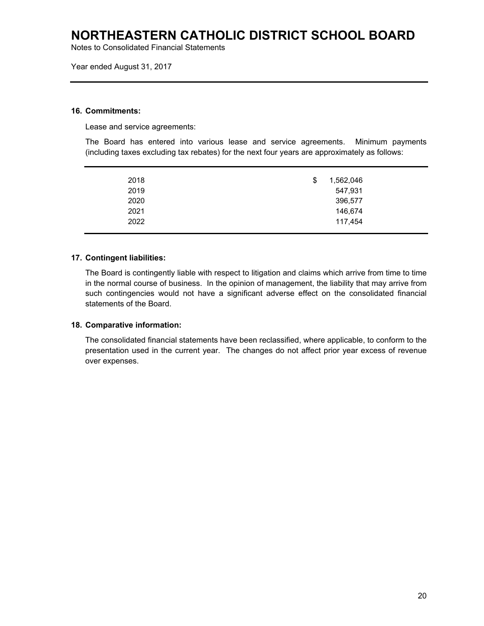Notes to Consolidated Financial Statements

Year ended August 31, 2017

#### **16. Commitments:**

Lease and service agreements:

The Board has entered into various lease and service agreements. Minimum payments (including taxes excluding tax rebates) for the next four years are approximately as follows:

| 2018 | 1,562,046<br>\$ |
|------|-----------------|
| 2019 | 547,931         |
| 2020 | 396,577         |
| 2021 | 146,674         |
| 2022 | 117,454         |
|      |                 |

## **17. Contingent liabilities:**

The Board is contingently liable with respect to litigation and claims which arrive from time to time in the normal course of business. In the opinion of management, the liability that may arrive from such contingencies would not have a significant adverse effect on the consolidated financial statements of the Board.

### **18. Comparative information:**

The consolidated financial statements have been reclassified, where applicable, to conform to the presentation used in the current year. The changes do not affect prior year excess of revenue over expenses.